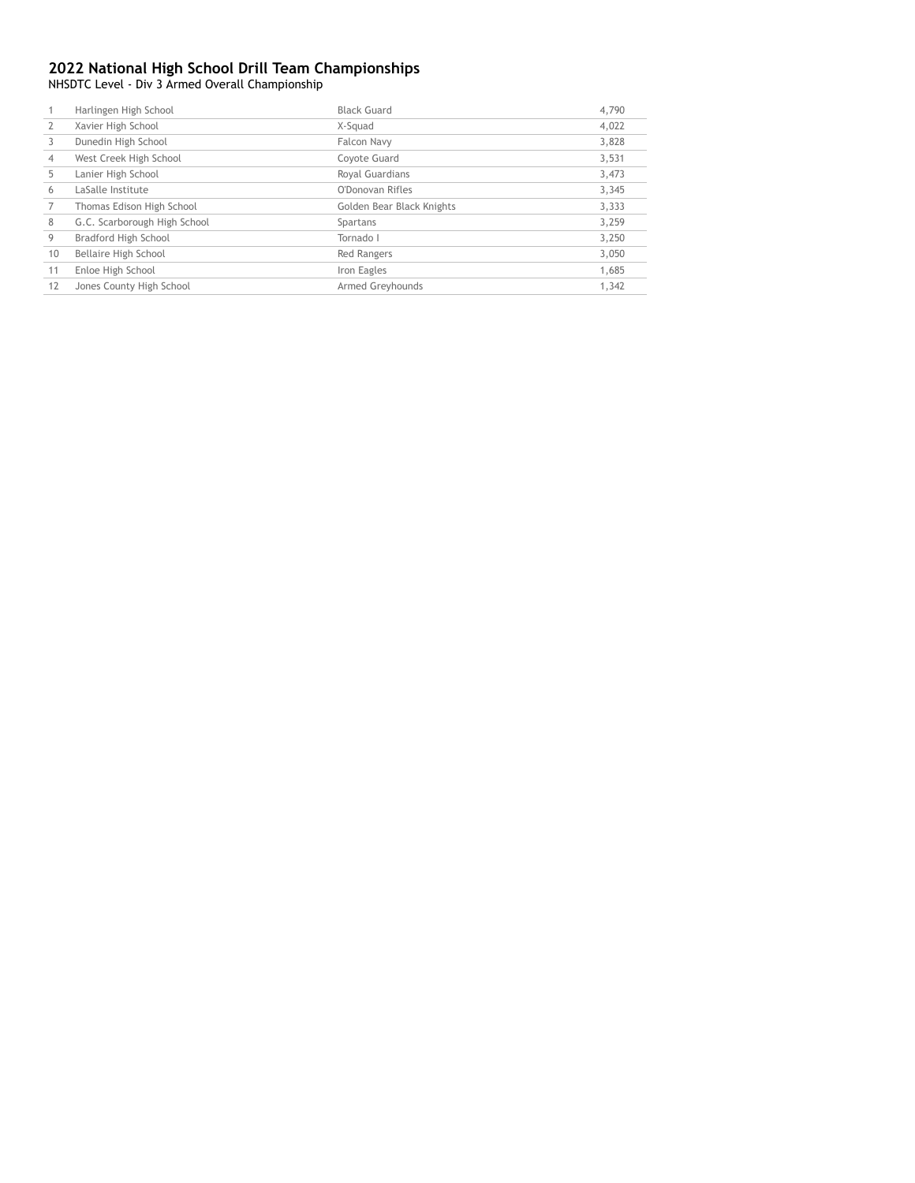NHSDTC Level - Div 3 Armed Overall Championship

|    | Harlingen High School        | <b>Black Guard</b>        | 4,790 |
|----|------------------------------|---------------------------|-------|
|    | Xavier High School           | X-Squad                   | 4,022 |
|    | Dunedin High School          | Falcon Navy               | 3.828 |
| 4  | West Creek High School       | Coyote Guard              | 3,531 |
| 5  | Lanier High School           | Royal Guardians           | 3,473 |
| 6  | LaSalle Institute            | O'Donovan Rifles          | 3,345 |
|    | Thomas Edison High School    | Golden Bear Black Knights | 3,333 |
| 8  | G.C. Scarborough High School | Spartans                  | 3,259 |
| 9  | Bradford High School         | Tornado I                 | 3,250 |
| 10 | Bellaire High School         | Red Rangers               | 3,050 |
| 11 | Enloe High School            | Iron Eagles               | 1,685 |
| 12 | Jones County High School     | Armed Greyhounds          | 1.342 |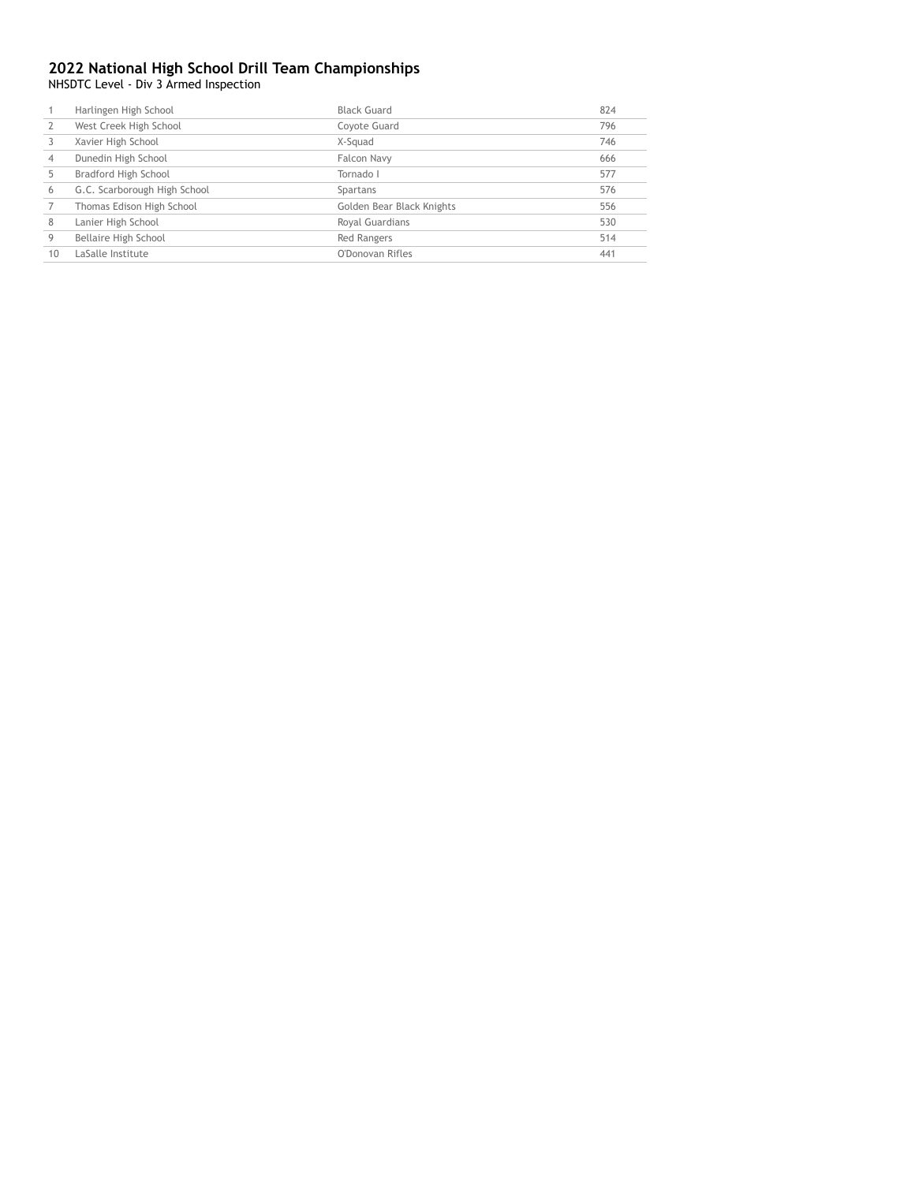NHSDTC Level - Div 3 Armed Inspection

|                | Harlingen High School        | <b>Black Guard</b>        | 824 |
|----------------|------------------------------|---------------------------|-----|
|                | West Creek High School       | Coyote Guard              | 796 |
|                | Xavier High School           | X-Squad                   | 746 |
| $\overline{4}$ | Dunedin High School          | Falcon Navy               | 666 |
|                | Bradford High School         | Tornado I                 | 577 |
| 6              | G.C. Scarborough High School | Spartans                  | 576 |
|                | Thomas Edison High School    | Golden Bear Black Knights | 556 |
| 8              | Lanier High School           | Royal Guardians           | 530 |
| 9              | Bellaire High School         | <b>Red Rangers</b>        | 514 |
| 10             | LaSalle Institute            | O'Donovan Rifles          | 441 |
|                |                              |                           |     |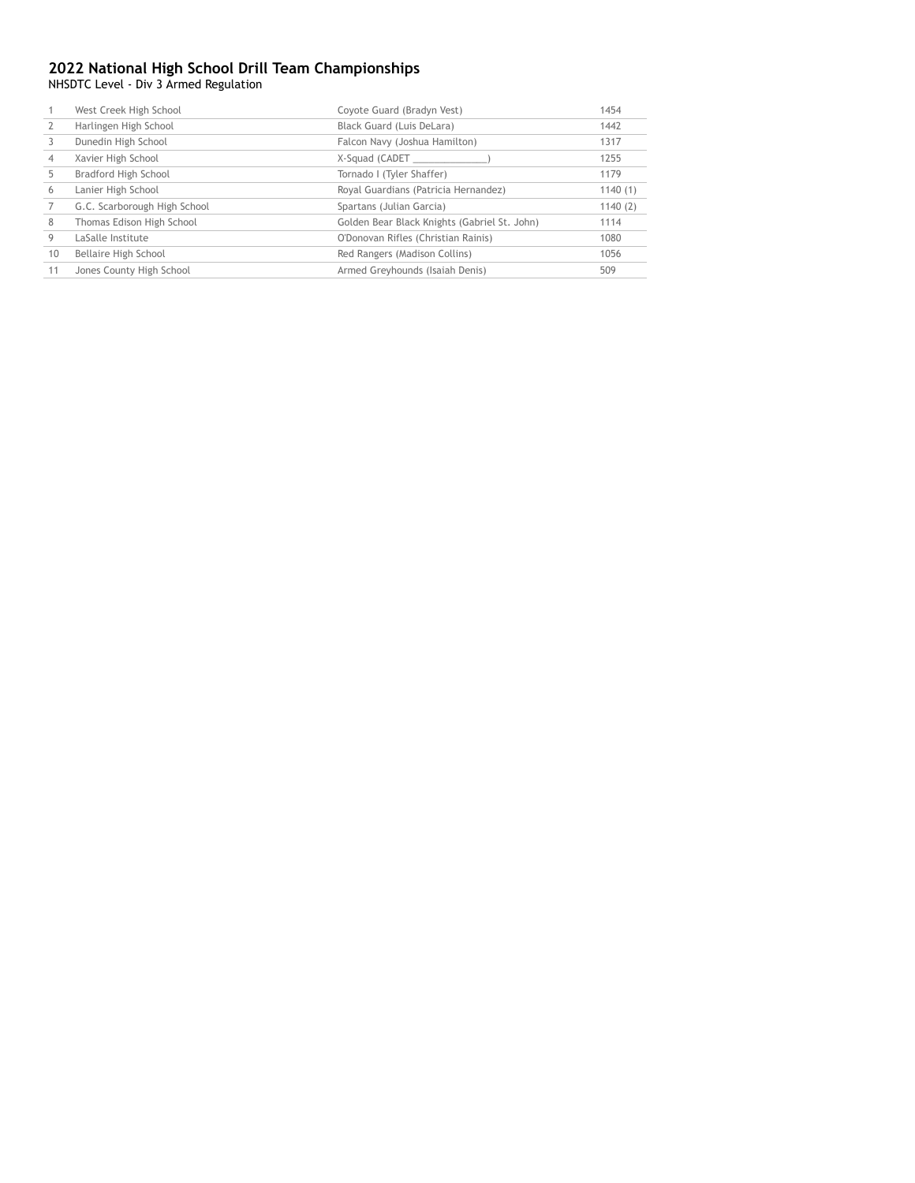NHSDTC Level - Div 3 Armed Regulation

|    | West Creek High School       | Coyote Guard (Bradyn Vest)                   | 1454    |
|----|------------------------------|----------------------------------------------|---------|
|    | Harlingen High School        | Black Guard (Luis DeLara)                    | 1442    |
|    | Dunedin High School          | Falcon Navy (Joshua Hamilton)                | 1317    |
|    | Xavier High School           | X-Squad (CADET                               | 1255    |
|    | Bradford High School         | Tornado I (Tyler Shaffer)                    | 1179    |
| 6  | Lanier High School           | Royal Guardians (Patricia Hernandez)         | 1140(1) |
|    | G.C. Scarborough High School | Spartans (Julian Garcia)                     | 1140(2) |
| 8  | Thomas Edison High School    | Golden Bear Black Knights (Gabriel St. John) | 1114    |
| 9  | LaSalle Institute            | O'Donovan Rifles (Christian Rainis)          | 1080    |
| 10 | Bellaire High School         | Red Rangers (Madison Collins)                | 1056    |
| 11 | Jones County High School     | Armed Greyhounds (Isaiah Denis)              | 509     |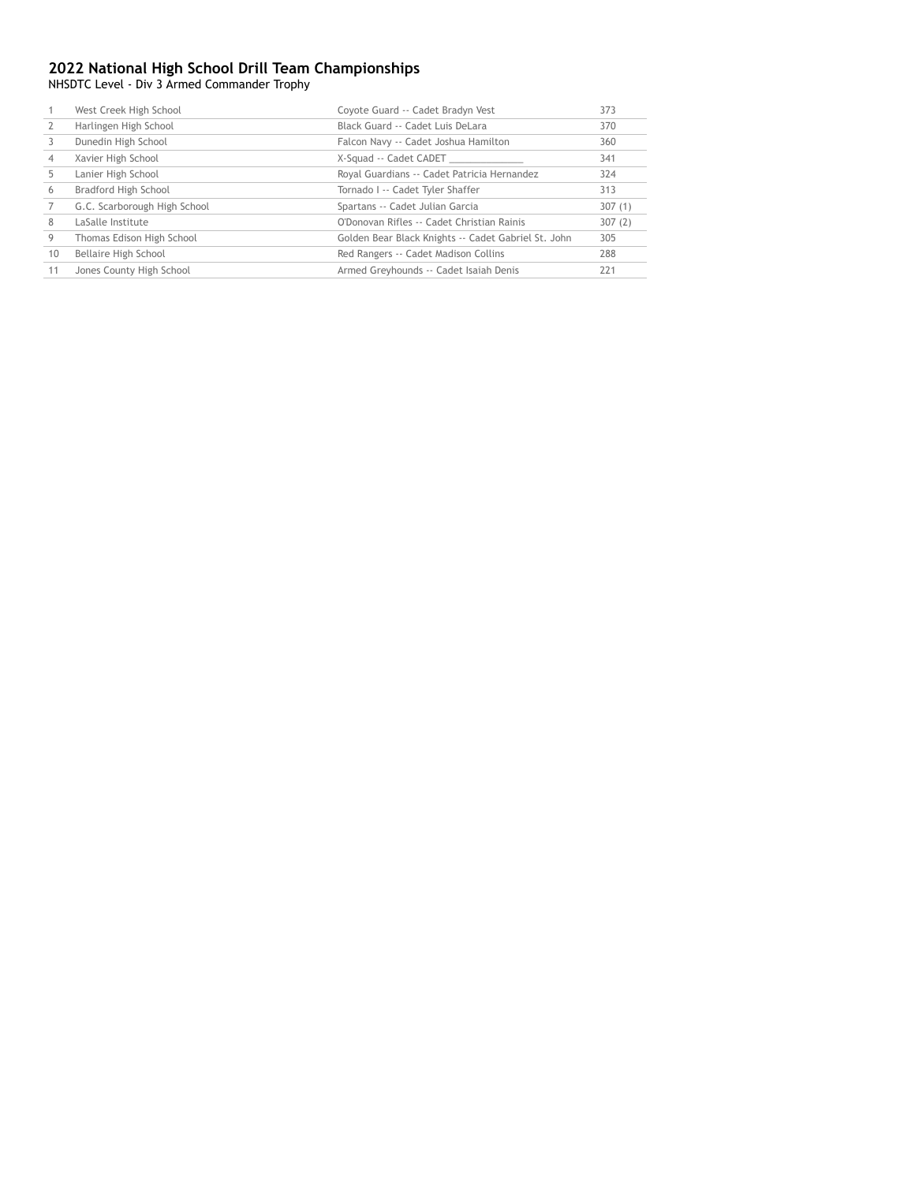NHSDTC Level - Div 3 Armed Commander Trophy

|    | West Creek High School       | Coyote Guard -- Cadet Bradyn Vest                   | 373    |
|----|------------------------------|-----------------------------------------------------|--------|
|    | Harlingen High School        | Black Guard -- Cadet Luis DeLara                    | 370    |
|    | Dunedin High School          | Falcon Navy -- Cadet Joshua Hamilton                | 360    |
|    | Xavier High School           | X-Squad -- Cadet CADET                              | 341    |
|    | Lanier High School           | Royal Guardians -- Cadet Patricia Hernandez         | 324    |
| 6  | Bradford High School         | Tornado I -- Cadet Tyler Shaffer                    | 313    |
|    | G.C. Scarborough High School | Spartans -- Cadet Julian Garcia                     | 307(1) |
| 8  | LaSalle Institute            | O'Donovan Rifles -- Cadet Christian Rainis          | 307(2) |
| 9  | Thomas Edison High School    | Golden Bear Black Knights -- Cadet Gabriel St. John | 305    |
| 10 | Bellaire High School         | Red Rangers -- Cadet Madison Collins                | 288    |
| 11 | Jones County High School     | Armed Greyhounds -- Cadet Isaiah Denis              | 221    |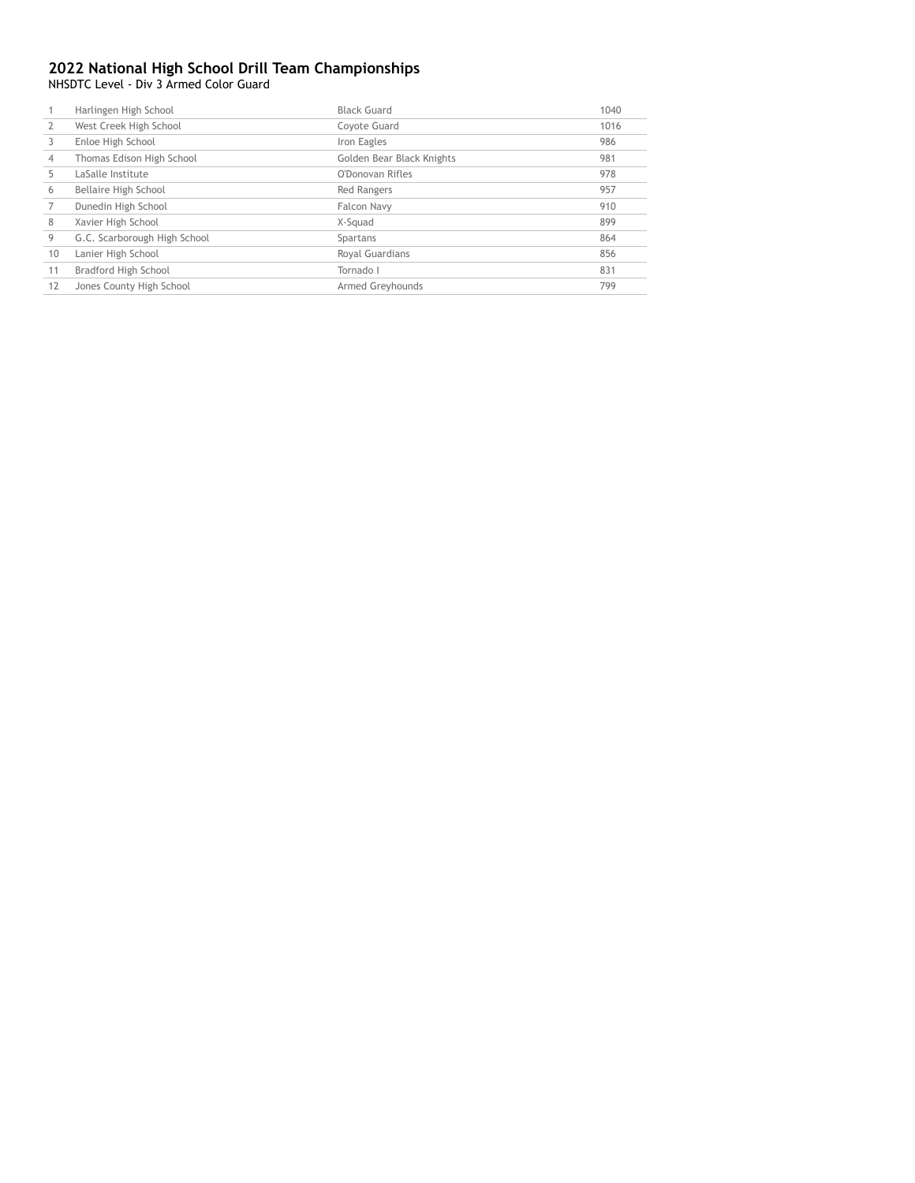NHSDTC Level - Div 3 Armed Color Guard

|    | Harlingen High School        | <b>Black Guard</b>        | 1040 |
|----|------------------------------|---------------------------|------|
|    | West Creek High School       | Coyote Guard              | 1016 |
|    | Enloe High School            | Iron Eagles               | 986  |
| 4  | Thomas Edison High School    | Golden Bear Black Knights | 981  |
|    | LaSalle Institute            | O'Donovan Rifles          | 978  |
| 6  | Bellaire High School         | <b>Red Rangers</b>        | 957  |
|    | Dunedin High School          | Falcon Navy               | 910  |
| 8  | Xavier High School           | X-Squad                   | 899  |
| 9  | G.C. Scarborough High School | Spartans                  | 864  |
| 10 | Lanier High School           | Royal Guardians           | 856  |
| 11 | Bradford High School         | Tornado I                 | 831  |
| 12 | Jones County High School     | Armed Greyhounds          | 799  |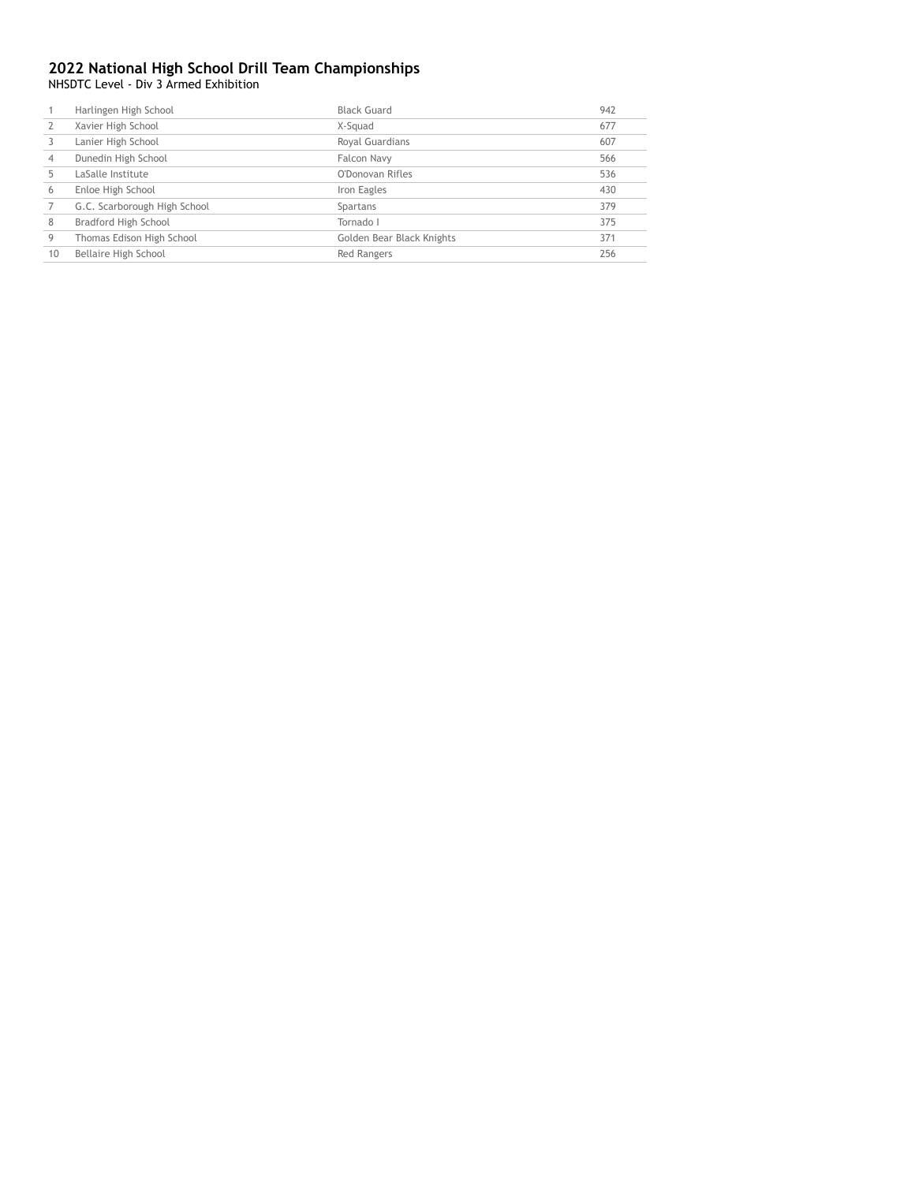NHSDTC Level - Div 3 Armed Exhibition

|                | Harlingen High School        | <b>Black Guard</b>        | 942 |
|----------------|------------------------------|---------------------------|-----|
|                | Xavier High School           | X-Squad                   | 677 |
|                | Lanier High School           | Royal Guardians           | 607 |
| $\overline{4}$ | Dunedin High School          | Falcon Navy               | 566 |
|                | LaSalle Institute            | O'Donovan Rifles          | 536 |
| 6              | Enloe High School            | Iron Eagles               | 430 |
|                | G.C. Scarborough High School | Spartans                  | 379 |
| 8              | Bradford High School         | Tornado I                 | 375 |
| 9              | Thomas Edison High School    | Golden Bear Black Knights | 371 |
| 10             | Bellaire High School         | <b>Red Rangers</b>        | 256 |
|                |                              |                           |     |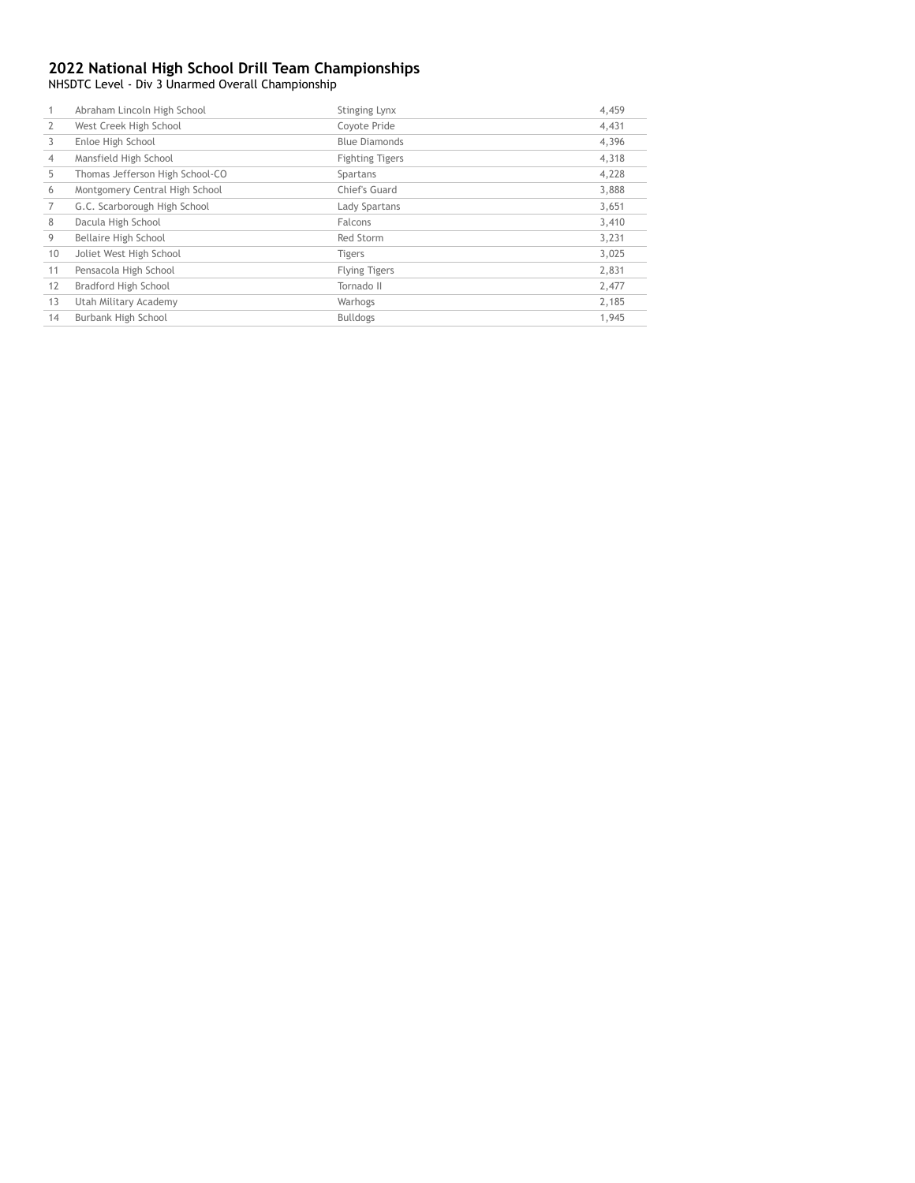NHSDTC Level - Div 3 Unarmed Overall Championship

|    | Abraham Lincoln High School     | Stinging Lynx          | 4,459 |
|----|---------------------------------|------------------------|-------|
| 2  | West Creek High School          | Coyote Pride           | 4,431 |
| 3  | Enloe High School               | <b>Blue Diamonds</b>   | 4,396 |
| 4  | Mansfield High School           | <b>Fighting Tigers</b> | 4,318 |
| 5  | Thomas Jefferson High School-CO | Spartans               | 4,228 |
| 6  | Montgomery Central High School  | Chief's Guard          | 3,888 |
| 7  | G.C. Scarborough High School    | Lady Spartans          | 3,651 |
| 8  | Dacula High School              | Falcons                | 3,410 |
| 9  | Bellaire High School            | Red Storm              | 3,231 |
| 10 | Joliet West High School         | <b>Tigers</b>          | 3,025 |
| 11 | Pensacola High School           | <b>Flying Tigers</b>   | 2,831 |
| 12 | Bradford High School            | Tornado II             | 2,477 |
| 13 | Utah Military Academy           | Warhogs                | 2,185 |
| 14 | Burbank High School             | <b>Bulldogs</b>        | 1,945 |
|    |                                 |                        |       |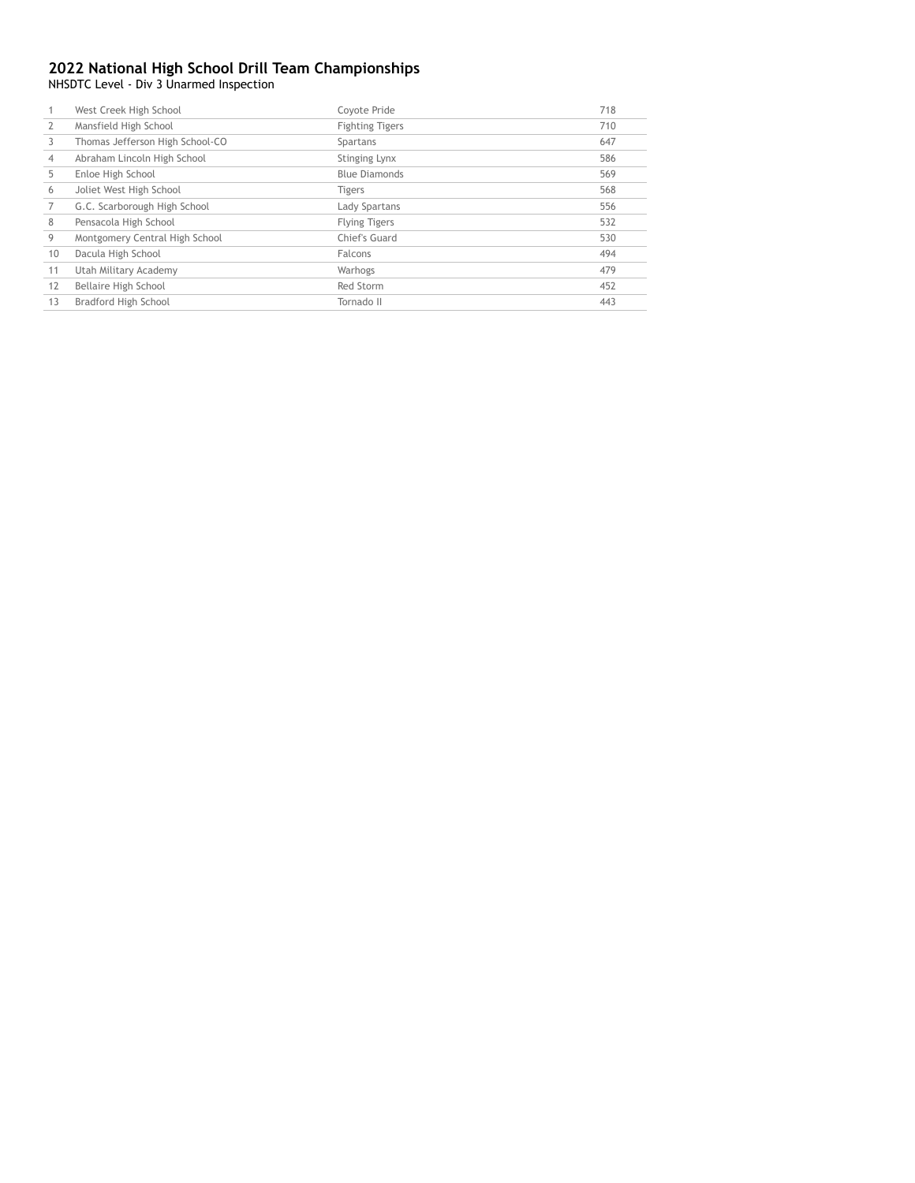NHSDTC Level - Div 3 Unarmed Inspection

|    | West Creek High School          | Coyote Pride           | 718 |
|----|---------------------------------|------------------------|-----|
|    | Mansfield High School           | <b>Fighting Tigers</b> | 710 |
| 3  | Thomas Jefferson High School-CO | Spartans               | 647 |
| 4  | Abraham Lincoln High School     | Stinging Lynx          | 586 |
| 5  | Enloe High School               | <b>Blue Diamonds</b>   | 569 |
| 6  | Joliet West High School         | <b>Tigers</b>          | 568 |
|    | G.C. Scarborough High School    | Lady Spartans          | 556 |
| 8  | Pensacola High School           | <b>Flying Tigers</b>   | 532 |
| 9  | Montgomery Central High School  | Chief's Guard          | 530 |
| 10 | Dacula High School              | Falcons                | 494 |
| 11 | Utah Military Academy           | Warhogs                | 479 |
| 12 | Bellaire High School            | Red Storm              | 452 |
| 13 | Bradford High School            | Tornado II             | 443 |
|    |                                 |                        |     |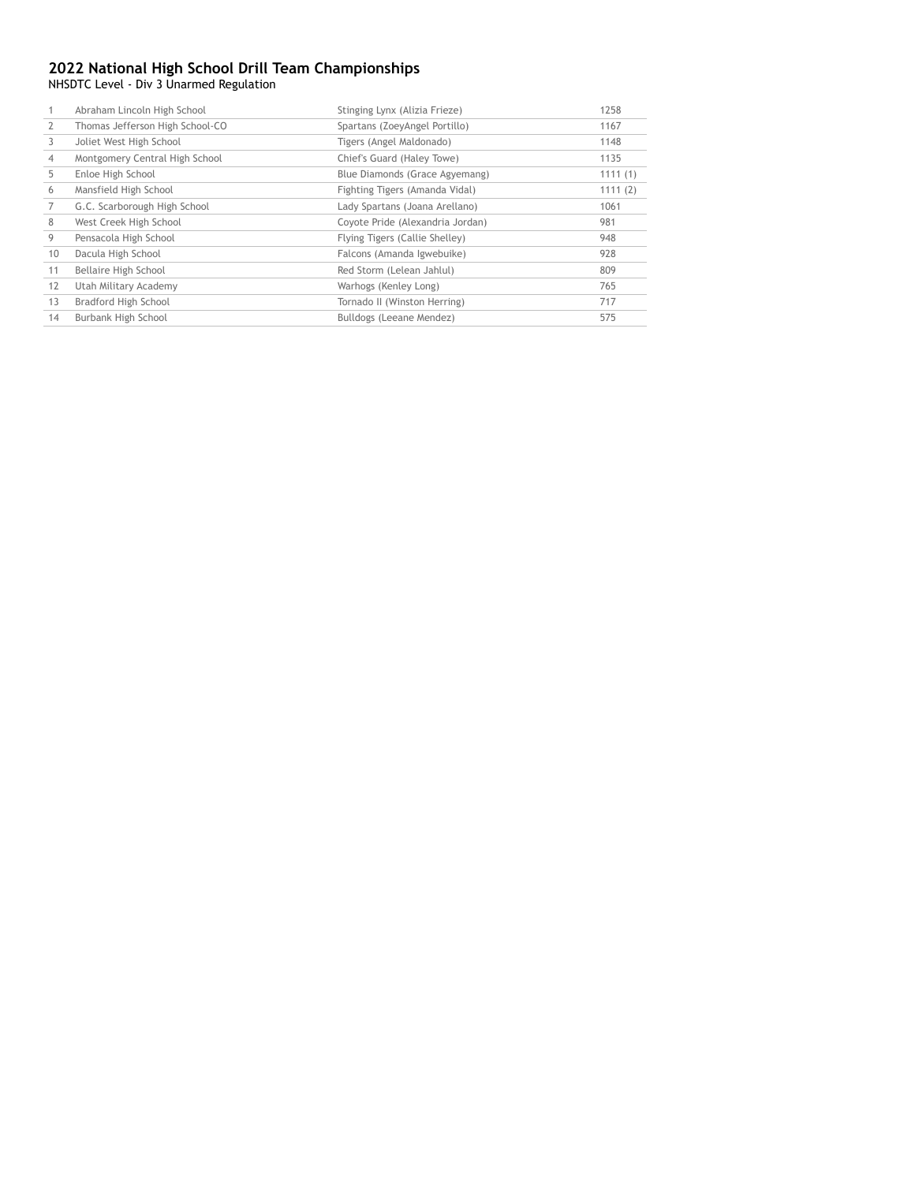NHSDTC Level - Div 3 Unarmed Regulation

|    | Abraham Lincoln High School     | Stinging Lynx (Alizia Frieze)    | 1258    |
|----|---------------------------------|----------------------------------|---------|
|    | Thomas Jefferson High School-CO | Spartans (ZoeyAngel Portillo)    | 1167    |
| 3  | Joliet West High School         | Tigers (Angel Maldonado)         | 1148    |
| 4  | Montgomery Central High School  | Chief's Guard (Haley Towe)       | 1135    |
| 5  | Enloe High School               | Blue Diamonds (Grace Agyemang)   | 1111(1) |
| 6  | Mansfield High School           | Fighting Tigers (Amanda Vidal)   | 1111(2) |
|    | G.C. Scarborough High School    | Lady Spartans (Joana Arellano)   | 1061    |
| 8  | West Creek High School          | Coyote Pride (Alexandria Jordan) | 981     |
| 9  | Pensacola High School           | Flying Tigers (Callie Shelley)   | 948     |
| 10 | Dacula High School              | Falcons (Amanda Igwebuike)       | 928     |
| 11 | Bellaire High School            | Red Storm (Lelean Jahlul)        | 809     |
| 12 | Utah Military Academy           | Warhogs (Kenley Long)            | 765     |
| 13 | Bradford High School            | Tornado II (Winston Herring)     | 717     |
| 14 | Burbank High School             | Bulldogs (Leeane Mendez)         | 575     |
|    |                                 |                                  |         |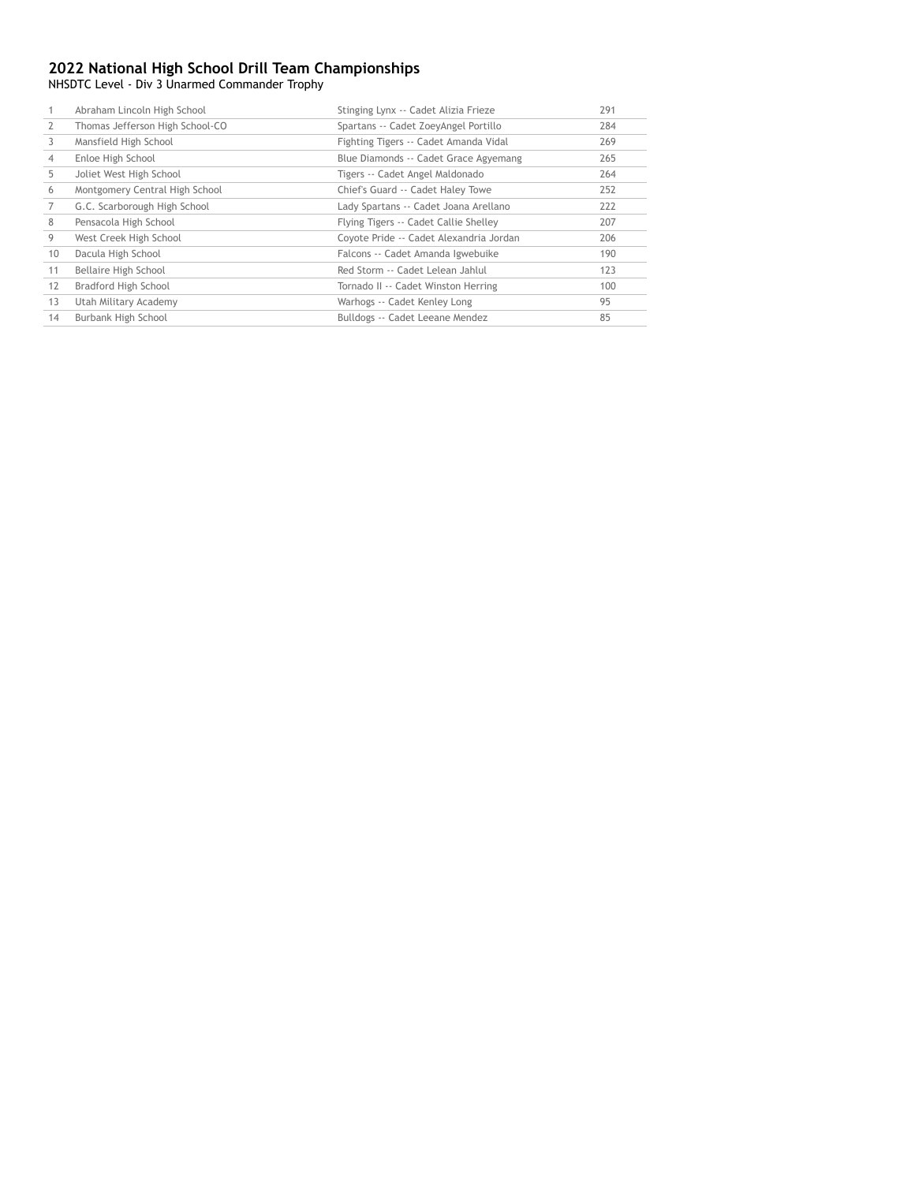NHSDTC Level - Div 3 Unarmed Commander Trophy

|                | Abraham Lincoln High School     | Stinging Lynx -- Cadet Alizia Frieze    | 291 |
|----------------|---------------------------------|-----------------------------------------|-----|
| $\overline{2}$ | Thomas Jefferson High School-CO | Spartans -- Cadet ZoeyAngel Portillo    | 284 |
| 3              | Mansfield High School           | Fighting Tigers -- Cadet Amanda Vidal   | 269 |
| 4              | Enloe High School               | Blue Diamonds -- Cadet Grace Agyemang   | 265 |
| 5              | Joliet West High School         | Tigers -- Cadet Angel Maldonado         | 264 |
| 6              | Montgomery Central High School  | Chief's Guard -- Cadet Haley Towe       | 252 |
| 7              | G.C. Scarborough High School    | Lady Spartans -- Cadet Joana Arellano   | 222 |
| 8              | Pensacola High School           | Flying Tigers -- Cadet Callie Shelley   | 207 |
| 9              | West Creek High School          | Coyote Pride -- Cadet Alexandria Jordan | 206 |
| 10             | Dacula High School              | Falcons -- Cadet Amanda Igwebuike       | 190 |
| 11             | Bellaire High School            | Red Storm -- Cadet Lelean Jahlul        | 123 |
| 12             | Bradford High School            | Tornado II -- Cadet Winston Herring     | 100 |
| 13             | Utah Military Academy           | Warhogs -- Cadet Kenley Long            | 95  |
| 14             | Burbank High School             | Bulldogs -- Cadet Leeane Mendez         | 85  |
|                |                                 |                                         |     |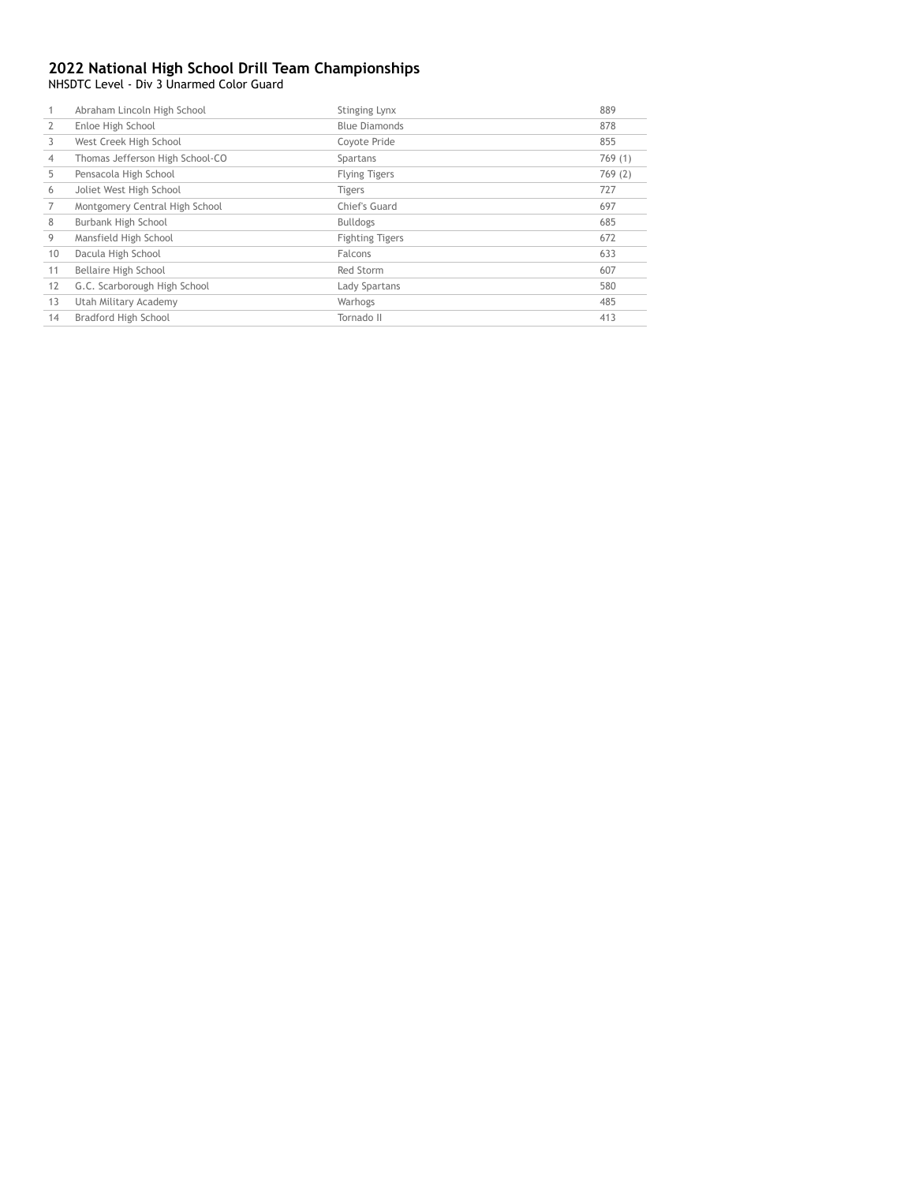NHSDTC Level - Div 3 Unarmed Color Guard

|    | Abraham Lincoln High School     | Stinging Lynx          | 889    |
|----|---------------------------------|------------------------|--------|
| 2  | Enloe High School               | <b>Blue Diamonds</b>   | 878    |
| 3  | West Creek High School          | Coyote Pride           | 855    |
| 4  | Thomas Jefferson High School-CO | Spartans               | 769(1) |
| 5  | Pensacola High School           | <b>Flying Tigers</b>   | 769(2) |
| 6  | Joliet West High School         | <b>Tigers</b>          | 727    |
|    | Montgomery Central High School  | Chief's Guard          | 697    |
| 8  | Burbank High School             | <b>Bulldogs</b>        | 685    |
| 9  | Mansfield High School           | <b>Fighting Tigers</b> | 672    |
| 10 | Dacula High School              | Falcons                | 633    |
| 11 | Bellaire High School            | Red Storm              | 607    |
| 12 | G.C. Scarborough High School    | Lady Spartans          | 580    |
| 13 | Utah Military Academy           | Warhogs                | 485    |
| 14 | Bradford High School            | Tornado II             | 413    |
|    |                                 |                        |        |